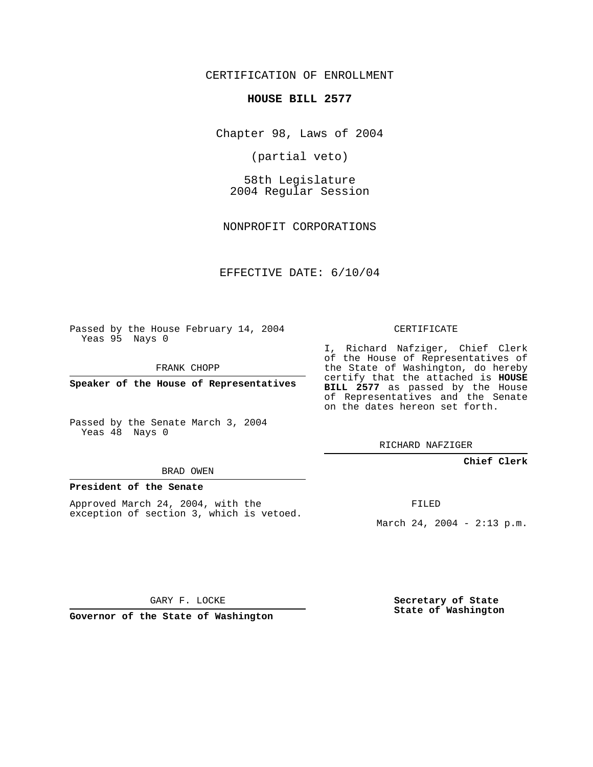CERTIFICATION OF ENROLLMENT

#### **HOUSE BILL 2577**

Chapter 98, Laws of 2004

(partial veto)

58th Legislature 2004 Regular Session

NONPROFIT CORPORATIONS

EFFECTIVE DATE: 6/10/04

Passed by the House February 14, 2004 Yeas 95 Nays 0

FRANK CHOPP

**Speaker of the House of Representatives**

Passed by the Senate March 3, 2004 Yeas 48 Nays 0

#### BRAD OWEN

### **President of the Senate**

Approved March 24, 2004, with the exception of section 3, which is vetoed.

#### CERTIFICATE

I, Richard Nafziger, Chief Clerk of the House of Representatives of the State of Washington, do hereby certify that the attached is **HOUSE BILL 2577** as passed by the House of Representatives and the Senate on the dates hereon set forth.

RICHARD NAFZIGER

#### **Chief Clerk**

FILED

March 24, 2004 - 2:13 p.m.

GARY F. LOCKE

**Governor of the State of Washington**

**Secretary of State State of Washington**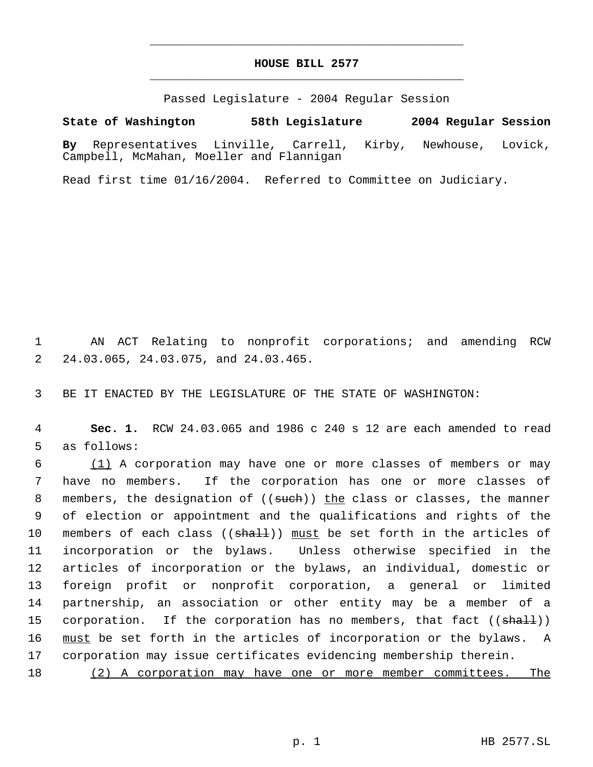## **HOUSE BILL 2577** \_\_\_\_\_\_\_\_\_\_\_\_\_\_\_\_\_\_\_\_\_\_\_\_\_\_\_\_\_\_\_\_\_\_\_\_\_\_\_\_\_\_\_\_\_

\_\_\_\_\_\_\_\_\_\_\_\_\_\_\_\_\_\_\_\_\_\_\_\_\_\_\_\_\_\_\_\_\_\_\_\_\_\_\_\_\_\_\_\_\_

Passed Legislature - 2004 Regular Session

## **State of Washington 58th Legislature 2004 Regular Session**

**By** Representatives Linville, Carrell, Kirby, Newhouse, Lovick, Campbell, McMahan, Moeller and Flannigan

Read first time 01/16/2004. Referred to Committee on Judiciary.

 1 AN ACT Relating to nonprofit corporations; and amending RCW 2 24.03.065, 24.03.075, and 24.03.465.

3 BE IT ENACTED BY THE LEGISLATURE OF THE STATE OF WASHINGTON:

 4 **Sec. 1.** RCW 24.03.065 and 1986 c 240 s 12 are each amended to read 5 as follows:

 (1) A corporation may have one or more classes of members or may have no members. If the corporation has one or more classes of 8 members, the designation of ((such)) the class or classes, the manner of election or appointment and the qualifications and rights of the 10 members of each class  $((\frac{shalt}{})$  must be set forth in the articles of incorporation or the bylaws. Unless otherwise specified in the articles of incorporation or the bylaws, an individual, domestic or foreign profit or nonprofit corporation, a general or limited partnership, an association or other entity may be a member of a 15 corporation. If the corporation has no members, that fact  $((shalt))$ 16 must be set forth in the articles of incorporation or the bylaws. A corporation may issue certificates evidencing membership therein.

18 (2) A corporation may have one or more member committees. The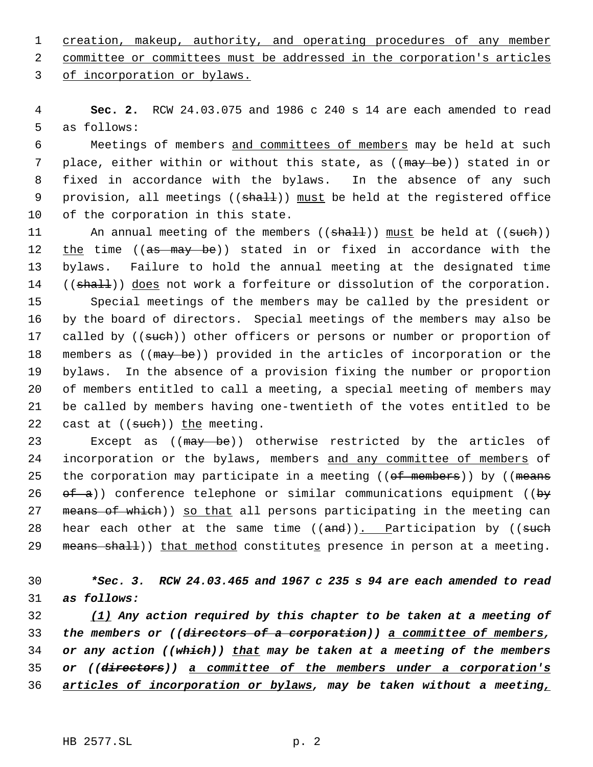1 creation, makeup, authority, and operating procedures of any member

2 committee or committees must be addressed in the corporation's articles

3 of incorporation or bylaws.

 4 **Sec. 2.** RCW 24.03.075 and 1986 c 240 s 14 are each amended to read 5 as follows:

 6 Meetings of members and committees of members may be held at such 7 place, either within or without this state, as ((may be)) stated in or 8 fixed in accordance with the bylaws. In the absence of any such 9 provision, all meetings ((shall)) must be held at the registered office 10 of the corporation in this state.

11 An annual meeting of the members ((shall)) must be held at ((such)) 12 the time ((as may be)) stated in or fixed in accordance with the 13 bylaws. Failure to hold the annual meeting at the designated time 14 ((shall)) does not work a forfeiture or dissolution of the corporation. 15 Special meetings of the members may be called by the president or 16 by the board of directors. Special meetings of the members may also be 17 called by ((such)) other officers or persons or number or proportion of 18 members as ((may be)) provided in the articles of incorporation or the 19 bylaws. In the absence of a provision fixing the number or proportion 20 of members entitled to call a meeting, a special meeting of members may 21 be called by members having one-twentieth of the votes entitled to be 22 cast at  $((such))$  the meeting.

23 Except as ((may be)) otherwise restricted by the articles of 24 incorporation or the bylaws, members and any committee of members of 25 the corporation may participate in a meeting ((of members)) by ((means 26  $ef-a$ ) conference telephone or similar communications equipment ((by 27 means of which)) so that all persons participating in the meeting can 28 hear each other at the same time  $((and))$ . Participation by  $((such)$ 29 means shall)) that method constitutes presence in person at a meeting.

# 30 *\*Sec. 3. RCW 24.03.465 and 1967 c 235 s 94 are each amended to read* 31 *as follows:*

 *(1) Any action required by this chapter to be taken at a meeting of the members or ((directors of a corporation)) a committee of members, or any action ((which)) that may be taken at a meeting of the members or ((directors)) a committee of the members under a corporation's articles of incorporation or bylaws, may be taken without a meeting,*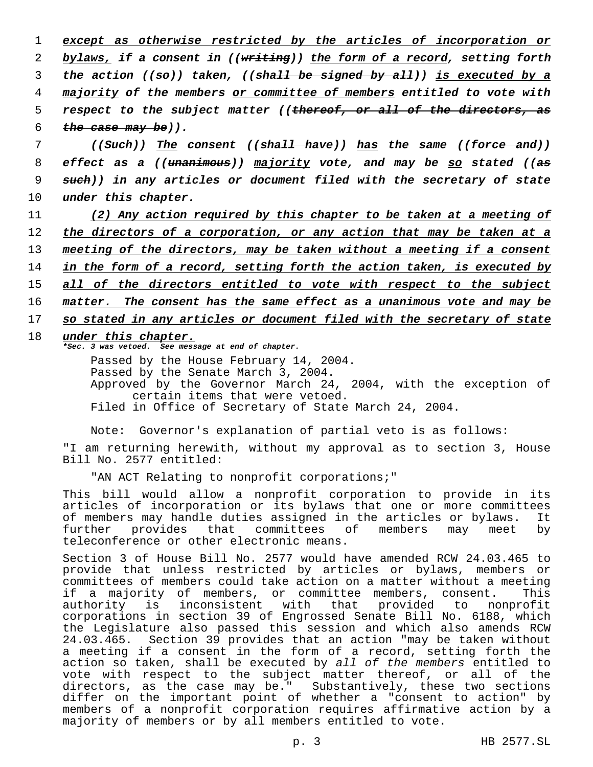*except as otherwise restricted by the articles of incorporation or bylaws, if a consent in ((writing)) the form of a record, setting forth the action ((so)) taken, ((shall be signed by all)) is executed by a majority of the members or committee of members entitled to vote with respect to the subject matter ((thereof, or all of the directors, as the case may be)).*

 *((Such)) The consent ((shall have)) has the same ((force and)) effect as a ((unanimous)) majority vote, and may be so stated ((as such)) in any articles or document filed with the secretary of state under this chapter.*

- 11 *(2) Any action required by this chapter to be taken at a meeting of* 12 *the directors of a corporation, or any action that may be taken at a* 13 *meeting of the directors, may be taken without a meeting if a consent* 14 *in the form of a record, setting forth the action taken, is executed by* 15 *all of the directors entitled to vote with respect to the subject* 16 *matter. The consent has the same effect as a unanimous vote and may be*
- 17 *so stated in any articles or document filed with the secretary of state*

## 18 *under this chapter.*

*\*Sec. 3 was vetoed. See message at end of chapter.*

Passed by the House February 14, 2004. Passed by the Senate March 3, 2004. Approved by the Governor March 24, 2004, with the exception of certain items that were vetoed. Filed in Office of Secretary of State March 24, 2004.

Note: Governor's explanation of partial veto is as follows:

"I am returning herewith, without my approval as to section 3, House Bill No. 2577 entitled:

"AN ACT Relating to nonprofit corporations;"

This bill would allow a nonprofit corporation to provide in its articles of incorporation or its bylaws that one or more committees of members may handle duties assigned in the articles or bylaws. It further provides that committees of members may meet by teleconference or other electronic means.

Section 3 of House Bill No. 2577 would have amended RCW 24.03.465 to provide that unless restricted by articles or bylaws, members or committees of members could take action on a matter without a meeting if a majority of members, or committee members, consent. This authority is inconsistent with that provided to nonprofit corporations in section 39 of Engrossed Senate Bill No. 6188, which the Legislature also passed this session and which also amends RCW 24.03.465. Section 39 provides that an action "may be taken without a meeting if a consent in the form of a record, setting forth the action so taken, shall be executed by *all of the members* entitled to vote with respect to the subject matter thereof, or all of the directors, as the case may be." Substantively, these two sections differ on the important point of whether a "consent to action" by members of a nonprofit corporation requires affirmative action by a majority of members or by all members entitled to vote.